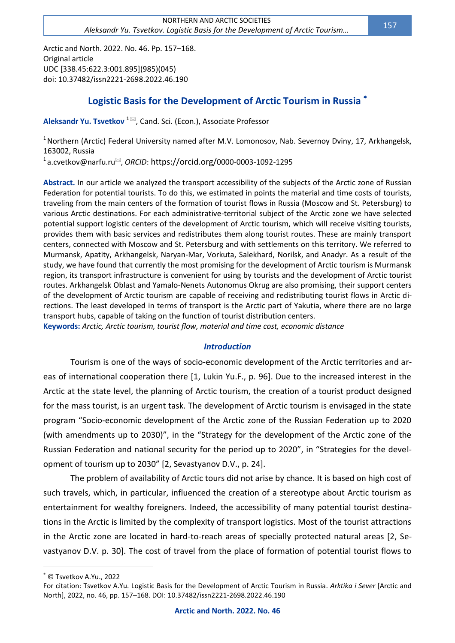Arctic and North. 2022. No. 46. Pp. 157–168. Original article UDC [338.45:622.3:001.895](985)(045) doi: 10.37482/issn2221-2698.2022.46.190

# **Logistic Basis for the Development of Arctic Tourism in Russia**

**Aleksandr Yu. Tsvetkov** <sup>1⊠</sup>, Cand. Sci. (Econ.), Associate Professor

<sup>1</sup> Northern (Arctic) Federal University named after M.V. Lomonosov, Nab. Severnoy Dviny, 17, Arkhangelsk, 163002, Russia

<sup>1</sup>a.cvetkov@narfu.ru<sup>⊠</sup>, *ORCID*: https://orcid.org/0000-0003-1092-1295

**Abstract.** In our article we analyzed the transport accessibility of the subjects of the Arctic zone of Russian Federation for potential tourists. To do this, we estimated in points the material and time costs of tourists, traveling from the main centers of the formation of tourist flows in Russia (Moscow and St. Petersburg) to various Arctic destinations. For each administrative-territorial subject of the Arctic zone we have selected potential support logistic centers of the development of Arctic tourism, which will receive visiting tourists, provides them with basic services and redistributes them along tourist routes. These are mainly transport centers, connected with Moscow and St. Petersburg and with settlements on this territory. We referred to Murmansk, Apatity, Arkhangelsk, Naryan-Mar, Vorkuta, Salekhard, Norilsk, and Anadyr. As a result of the study, we have found that currently the most promising for the development of Arctic tourism is Murmansk region, its transport infrastructure is convenient for using by tourists and the development of Arctic tourist routes. Arkhangelsk Oblast and Yamalo-Nenets Autonomus Okrug are also promising, their support centers of the development of Arctic tourism are capable of receiving and redistributing tourist flows in Arctic directions. The least developed in terms of transport is the Arctic part of Yakutia, where there are no large transport hubs, capable of taking on the function of tourist distribution centers.

**Keywords:** *Arctic, Arctic tourism, tourist flow, material and time cost, economic distance*

### *Introduction*

Tourism is one of the ways of socio-economic development of the Arctic territories and areas of international cooperation there [1, Lukin Yu.F., p. 96]. Due to the increased interest in the Arctic at the state level, the planning of Arctic tourism, the creation of a tourist product designed for the mass tourist, is an urgent task. The development of Arctic tourism is envisaged in the state program "Socio-economic development of the Arctic zone of the Russian Federation up to 2020 (with amendments up to 2030)", in the "Strategy for the development of the Arctic zone of the Russian Federation and national security for the period up to 2020", in "Strategies for the development of tourism up to 2030" [2, Sevastyanov D.V., p. 24].

The problem of availability of Arctic tours did not arise by chance. It is based on high cost of such travels, which, in particular, influenced the creation of a stereotype about Arctic tourism as entertainment for wealthy foreigners. Indeed, the accessibility of many potential tourist destinations in the Arctic is limited by the complexity of transport logistics. Most of the tourist attractions in the Arctic zone are located in hard-to-reach areas of specially protected natural areas [2, Sevastyanov D.V. p. 30]. The cost of travel from the place of formation of potential tourist flows to

 $\overline{a}$ 

© Tsvetkov A.Yu., 2022

For citation: Tsvetkov A.Yu. Logistic Basis for the Development of Arctic Tourism in Russia. *Arktika i Sever* [Arctic and North], 2022, no. 46, pp. 157–168. DOI: 10.37482/issn2221-2698.2022.46.190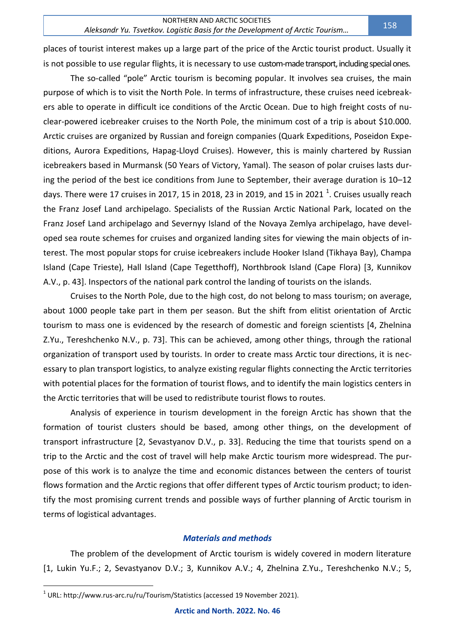places of tourist interest makes up a large part of the price of the Arctic tourist product. Usually it is not possible to use regular flights, it is necessary to use custom-made transport, including special ones.

The so-called "pole" Arctic tourism is becoming popular. It involves sea cruises, the main purpose of which is to visit the North Pole. In terms of infrastructure, these cruises need icebreakers able to operate in difficult ice conditions of the Arctic Ocean. Due to high freight costs of nuclear-powered icebreaker cruises to the North Pole, the minimum cost of a trip is about \$10.000. Arctic cruises are organized by Russian and foreign companies (Quark Expeditions, Poseidon Expeditions, Aurora Expeditions, Hapag-Lloyd Cruises). However, this is mainly chartered by Russian icebreakers based in Murmansk (50 Years of Victory, Yamal). The season of polar cruises lasts during the period of the best ice conditions from June to September, their average duration is 10–12 days. There were 17 cruises in 2017, 15 in 2018, 23 in 2019, and 15 in 2021  $^1$ . Cruises usually reach the Franz Josef Land archipelago. Specialists of the Russian Arctic National Park, located on the Franz Josef Land archipelago and Severnyy Island of the Novaya Zemlya archipelago, have developed sea route schemes for cruises and organized landing sites for viewing the main objects of interest. The most popular stops for cruise icebreakers include Hooker Island (Tikhaya Bay), Champa Island (Cape Trieste), Hall Island (Cape Tegetthoff), Northbrook Island (Cape Flora) [3, Kunnikov A.V., p. 43]. Inspectors of the national park control the landing of tourists on the islands.

Cruises to the North Pole, due to the high cost, do not belong to mass tourism; on average, about 1000 people take part in them per season. But the shift from elitist orientation of Arctic tourism to mass one is evidenced by the research of domestic and foreign scientists [4, Zhelnina Z.Yu., Tereshchenko N.V., p. 73]. This can be achieved, among other things, through the rational organization of transport used by tourists. In order to create mass Arctic tour directions, it is necessary to plan transport logistics, to analyze existing regular flights connecting the Arctic territories with potential places for the formation of tourist flows, and to identify the main logistics centers in the Arctic territories that will be used to redistribute tourist flows to routes.

Analysis of experience in tourism development in the foreign Arctic has shown that the formation of tourist clusters should be based, among other things, on the development of transport infrastructure [2, Sevastyanov D.V., p. 33]. Reducing the time that tourists spend on a trip to the Arctic and the cost of travel will help make Arctic tourism more widespread. The purpose of this work is to analyze the time and economic distances between the centers of tourist flows formation and the Arctic regions that offer different types of Arctic tourism product; to identify the most promising current trends and possible ways of further planning of Arctic tourism in terms of logistical advantages.

### *Materials and methods*

The problem of the development of Arctic tourism is widely covered in modern literature [1, Lukin Yu.F.; 2, Sevastyanov D.V.; 3, Kunnikov A.V.; 4, Zhelnina Z.Yu., Tereshchenko N.V.; 5,

 $\overline{a}$ 

 $^{\text{\tiny{\textup{1}}}}$  URL:<http://www.rus-arc.ru/ru/Tourism/Statistics> (accessed 19 November 2021).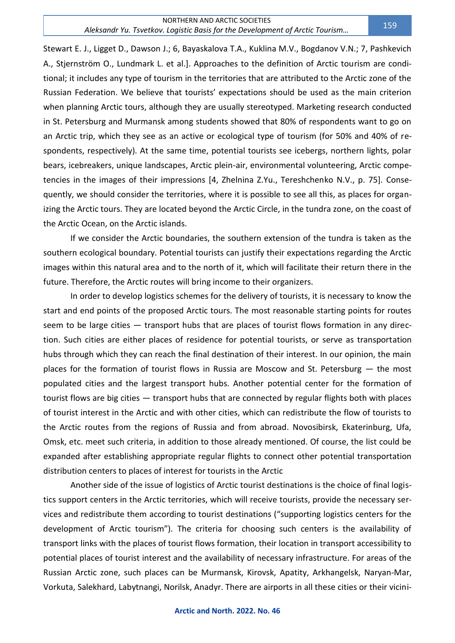Stewart E. J., Ligget D., Dawson J.; 6, Bayaskalova T.A., Kuklina M.V., Bogdanov V.N.; 7, Pashkevich A., Stjernström O., Lundmark L. et al.]. Approaches to the definition of Arctic tourism are conditional; it includes any type of tourism in the territories that are attributed to the Arctic zone of the Russian Federation. We believe that tourists' expectations should be used as the main criterion when planning Arctic tours, although they are usually stereotyped. Marketing research conducted in St. Petersburg and Murmansk among students showed that 80% of respondents want to go on an Arctic trip, which they see as an active or ecological type of tourism (for 50% and 40% of respondents, respectively). At the same time, potential tourists see icebergs, northern lights, polar bears, icebreakers, unique landscapes, Arctic plein-air, environmental volunteering, Arctic competencies in the images of their impressions [4, Zhelnina Z.Yu., Tereshchenko N.V., p. 75]. Consequently, we should consider the territories, where it is possible to see all this, as places for organizing the Arctic tours. They are located beyond the Arctic Circle, in the tundra zone, on the coast of the Arctic Ocean, on the Arctic islands.

If we consider the Arctic boundaries, the southern extension of the tundra is taken as the southern ecological boundary. Potential tourists can justify their expectations regarding the Arctic images within this natural area and to the north of it, which will facilitate their return there in the future. Therefore, the Arctic routes will bring income to their organizers.

In order to develop logistics schemes for the delivery of tourists, it is necessary to know the start and end points of the proposed Arctic tours. The most reasonable starting points for routes seem to be large cities — transport hubs that are places of tourist flows formation in any direction. Such cities are either places of residence for potential tourists, or serve as transportation hubs through which they can reach the final destination of their interest. In our opinion, the main places for the formation of tourist flows in Russia are Moscow and St. Petersburg — the most populated cities and the largest transport hubs. Another potential center for the formation of tourist flows are big cities — transport hubs that are connected by regular flights both with places of tourist interest in the Arctic and with other cities, which can redistribute the flow of tourists to the Arctic routes from the regions of Russia and from abroad. Novosibirsk, Ekaterinburg, Ufa, Omsk, etc. meet such criteria, in addition to those already mentioned. Of course, the list could be expanded after establishing appropriate regular flights to connect other potential transportation distribution centers to places of interest for tourists in the Arctic

Another side of the issue of logistics of Arctic tourist destinations is the choice of final logistics support centers in the Arctic territories, which will receive tourists, provide the necessary services and redistribute them according to tourist destinations ("supporting logistics centers for the development of Arctic tourism"). The criteria for choosing such centers is the availability of transport links with the places of tourist flows formation, their location in transport accessibility to potential places of tourist interest and the availability of necessary infrastructure. For areas of the Russian Arctic zone, such places can be Murmansk, Kirovsk, Apatity, Arkhangelsk, Naryan-Mar, Vorkuta, Salekhard, Labytnangi, Norilsk, Anadyr. There are airports in all these cities or their vicini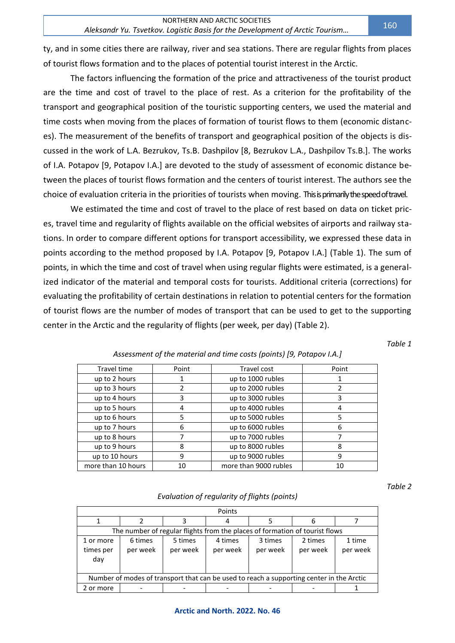ty, and in some cities there are railway, river and sea stations. There are regular flights from places of tourist flows formation and to the places of potential tourist interest in the Arctic.

The factors influencing the formation of the price and attractiveness of the tourist product are the time and cost of travel to the place of rest. As a criterion for the profitability of the transport and geographical position of the touristic supporting centers, we used the material and time costs when moving from the places of formation of tourist flows to them (economic distances). The measurement of the benefits of transport and geographical position of the objects is discussed in the work of L.A. Bezrukov, Ts.B. Dashpilov [8, Bezrukov L.A., Dashpilov Ts.B.]. The works of I.A. Potapov [9, Potapov I.A.] are devoted to the study of assessment of economic distance between the places of tourist flows formation and the centers of tourist interest. The authors see the choice of evaluation criteria in the priorities of tourists when moving. This is primarily the speed of travel.

We estimated the time and cost of travel to the place of rest based on data on ticket prices, travel time and regularity of flights available on the official websites of airports and railway stations. In order to compare different options for transport accessibility, we expressed these data in points according to the method proposed by I.A. Potapov [9, Potapov I.A.] (Table 1). The sum of points, in which the time and cost of travel when using regular flights were estimated, is a generalized indicator of the material and temporal costs for tourists. Additional criteria (corrections) for evaluating the profitability of certain destinations in relation to potential centers for the formation of tourist flows are the number of modes of transport that can be used to get to the supporting center in the Arctic and the regularity of flights (per week, per day) (Table 2).

*Table 1*

| Travel time        | Point | Travel cost           | Point |
|--------------------|-------|-----------------------|-------|
| up to 2 hours      |       | up to 1000 rubles     |       |
| up to 3 hours      | 2     | up to 2000 rubles     |       |
| up to 4 hours      | 3     | up to 3000 rubles     | 3     |
| up to 5 hours      | 4     | up to 4000 rubles     |       |
| up to 6 hours      | 5     | up to 5000 rubles     | 5     |
| up to 7 hours      | 6     | up to 6000 rubles     | 6     |
| up to 8 hours      |       | up to 7000 rubles     |       |
| up to 9 hours      | 8     | up to 8000 rubles     | 8     |
| up to 10 hours     | 9     | up to 9000 rubles     | 9     |
| more than 10 hours | 10    | more than 9000 rubles | 10    |

### *Assessment of the material and time costs (points) [9, Potapov I.A.]*

*Table 2*

### *Evaluation of regularity of flights (points)*

|                                                                                          |                     |                                                                             | Points              |                     |                     |                    |
|------------------------------------------------------------------------------------------|---------------------|-----------------------------------------------------------------------------|---------------------|---------------------|---------------------|--------------------|
|                                                                                          |                     |                                                                             |                     |                     | h                   |                    |
|                                                                                          |                     | The number of regular flights from the places of formation of tourist flows |                     |                     |                     |                    |
| 1 or more<br>times per<br>day                                                            | 6 times<br>per week | 5 times<br>per week                                                         | 4 times<br>per week | 3 times<br>per week | 2 times<br>per week | 1 time<br>per week |
| Number of modes of transport that can be used to reach a supporting center in the Arctic |                     |                                                                             |                     |                     |                     |                    |
| 2 or more                                                                                |                     |                                                                             |                     |                     |                     |                    |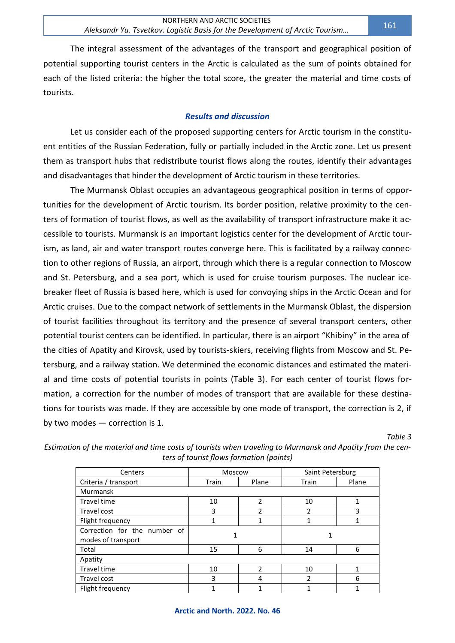The integral assessment of the advantages of the transport and geographical position of potential supporting tourist centers in the Arctic is calculated as the sum of points obtained for each of the listed criteria: the higher the total score, the greater the material and time costs of tourists.

## *Results and discussion*

Let us consider each of the proposed supporting centers for Arctic tourism in the constituent entities of the Russian Federation, fully or partially included in the Arctic zone. Let us present them as transport hubs that redistribute tourist flows along the routes, identify their advantages and disadvantages that hinder the development of Arctic tourism in these territories.

The Murmansk Oblast occupies an advantageous geographical position in terms of opportunities for the development of Arctic tourism. Its border position, relative proximity to the centers of formation of tourist flows, as well as the availability of transport infrastructure make it accessible to tourists. Murmansk is an important logistics center for the development of Arctic tourism, as land, air and water transport routes converge here. This is facilitated by a railway connection to other regions of Russia, an airport, through which there is a regular connection to Moscow and St. Petersburg, and a sea port, which is used for cruise tourism purposes. The nuclear icebreaker fleet of Russia is based here, which is used for convoying ships in the Arctic Ocean and for Arctic cruises. Due to the compact network of settlements in the Murmansk Oblast, the dispersion of tourist facilities throughout its territory and the presence of several transport centers, other potential tourist centers can be identified. In particular, there is an airport "Khibiny" in the area of the cities of Apatity and Kirovsk, used by tourists-skiers, receiving flights from Moscow and St. Petersburg, and a railway station. We determined the economic distances and estimated the material and time costs of potential tourists in points (Table 3). For each center of tourist flows formation, a correction for the number of modes of transport that are available for these destinations for tourists was made. If they are accessible by one mode of transport, the correction is 2, if by two modes — correction is 1.

*Table 3*

| Centers                                            | Moscow         |   | Saint Petersburg |       |  |  |
|----------------------------------------------------|----------------|---|------------------|-------|--|--|
| Criteria / transport                               | Plane<br>Train |   | Train            | Plane |  |  |
| Murmansk                                           |                |   |                  |       |  |  |
| Travel time                                        | 10             | 2 | 10               | 1     |  |  |
| Travel cost                                        | 3              | 2 | $\mathfrak{p}$   | 3     |  |  |
| Flight frequency                                   |                |   |                  |       |  |  |
| Correction for the number of<br>modes of transport |                |   |                  |       |  |  |
| Total                                              | 15             | 6 | 14               | 6     |  |  |
| Apatity                                            |                |   |                  |       |  |  |
| <b>Travel time</b>                                 | 10             | 2 | 10               |       |  |  |
| Travel cost                                        | 3              | 4 | $\mathfrak{p}$   | 6     |  |  |
| Flight frequency                                   | 1              |   |                  |       |  |  |

*Estimation of the material and time costs of tourists when traveling to Murmansk and Apatity from the centers of tourist flows formation (points)*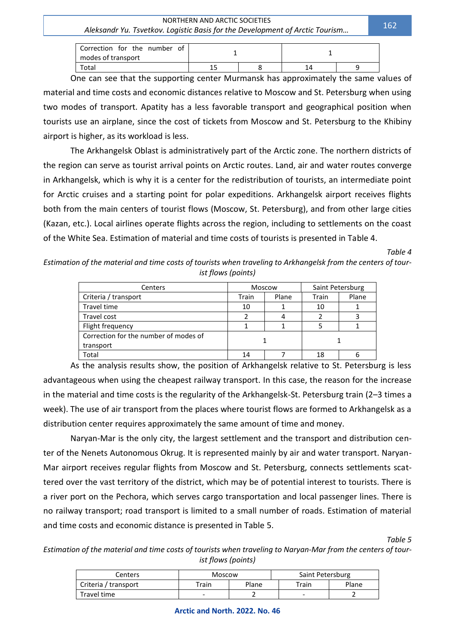Correction for the number of modes of transport 1 1 and 1 1 and 1 1 and 1 1 and 1 1 and 1 1 and 1 1 and 1 1 and 1 1 and 1 1 and 1 1 and 1 1  $\overline{1}$ Total 15 | 8 | 14 | 9

One can see that the supporting center Murmansk has approximately the same values of material and time costs and economic distances relative to Moscow and St. Petersburg when using two modes of transport. Apatity has a less favorable transport and geographical position when tourists use an airplane, since the cost of tickets from Moscow and St. Petersburg to the Khibiny airport is higher, as its workload is less.

The Arkhangelsk Oblast is administratively part of the Arctic zone. The northern districts of the region can serve as tourist arrival points on Arctic routes. Land, air and water routes converge in Arkhangelsk, which is why it is a center for the redistribution of tourists, an intermediate point for Arctic cruises and a starting point for polar expeditions. Arkhangelsk airport receives flights both from the main centers of tourist flows (Moscow, St. Petersburg), and from other large cities (Kazan, etc.). Local airlines operate flights across the region, including to settlements on the coast of the White Sea. Estimation of material and time costs of tourists is presented in Table 4.

*Table 4*

*Estimation of the material and time costs of tourists when traveling to Arkhangelsk from the centers of tourist flows (points)*

| Centers                               | Moscow         |  | Saint Petersburg |       |
|---------------------------------------|----------------|--|------------------|-------|
| Criteria / transport                  | Train<br>Plane |  | Train            | Plane |
| <b>Travel time</b>                    | 10             |  | 10               |       |
| Travel cost                           | າ              |  |                  |       |
| Flight frequency                      |                |  |                  |       |
| Correction for the number of modes of |                |  |                  |       |
| transport                             |                |  |                  |       |
| Total                                 | 14             |  | 18               |       |

As the analysis results show, the position of Arkhangelsk relative to St. Petersburg is less advantageous when using the cheapest railway transport. In this case, the reason for the increase in the material and time costs is the regularity of the Arkhangelsk-St. Petersburg train (2–3 times a week). The use of air transport from the places where tourist flows are formed to Arkhangelsk as a distribution center requires approximately the same amount of time and money.

Naryan-Mar is the only city, the largest settlement and the transport and distribution center of the Nenets Autonomous Okrug. It is represented mainly by air and water transport. Naryan-Mar airport receives regular flights from Moscow and St. Petersburg, connects settlements scattered over the vast territory of the district, which may be of potential interest to tourists. There is a river port on the Pechora, which serves cargo transportation and local passenger lines. There is no railway transport; road transport is limited to a small number of roads. Estimation of material and time costs and economic distance is presented in Table 5.

*Table 5*

*Estimation of the material and time costs of tourists when traveling to Naryan-Mar from the centers of tourist flows (points)*

| Centers              | Moscow         |  | Saint Petersburg |       |
|----------------------|----------------|--|------------------|-------|
| Criteria / transport | Plane<br>Train |  | Train            | Plane |
| Travel time          | ۰              |  | -                |       |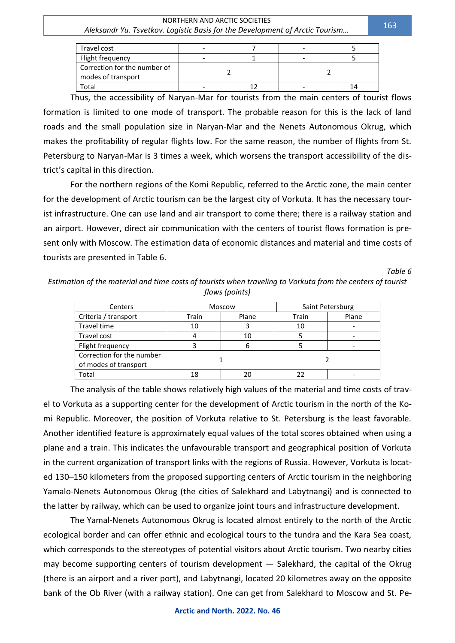| Travel cost                                        |  |  |  |
|----------------------------------------------------|--|--|--|
| Flight frequency                                   |  |  |  |
| Correction for the number of<br>modes of transport |  |  |  |
| Total                                              |  |  |  |

Thus, the accessibility of Naryan-Mar for tourists from the main centers of tourist flows formation is limited to one mode of transport. The probable reason for this is the lack of land roads and the small population size in Naryan-Mar and the Nenets Autonomous Okrug, which makes the profitability of regular flights low. For the same reason, the number of flights from St. Petersburg to Naryan-Mar is 3 times a week, which worsens the transport accessibility of the district's capital in this direction.

For the northern regions of the Komi Republic, referred to the Arctic zone, the main center for the development of Arctic tourism can be the largest city of Vorkuta. It has the necessary tourist infrastructure. One can use land and air transport to come there; there is a railway station and an airport. However, direct air communication with the centers of tourist flows formation is present only with Moscow. The estimation data of economic distances and material and time costs of tourists are presented in Table 6.

#### *Table 6*

*Estimation of the material and time costs of tourists when traveling to Vorkuta from the centers of tourist flows (points)*

| Centers                                            | Moscow |       | Saint Petersburg |       |
|----------------------------------------------------|--------|-------|------------------|-------|
| Criteria / transport                               | Train  | Plane | Train            | Plane |
| <b>Travel time</b>                                 | 10     |       | 10               |       |
| Travel cost                                        |        | 10    |                  |       |
| Flight frequency                                   |        | 6     |                  |       |
| Correction for the number<br>of modes of transport |        |       |                  |       |
| Total                                              | 18     | 20    |                  |       |

The analysis of the table shows relatively high values of the material and time costs of travel to Vorkuta as a supporting center for the development of Arctic tourism in the north of the Komi Republic. Moreover, the position of Vorkuta relative to St. Petersburg is the least favorable. Another identified feature is approximately equal values of the total scores obtained when using a plane and a train. This indicates the unfavourable transport and geographical position of Vorkuta in the current organization of transport links with the regions of Russia. However, Vorkuta is located 130–150 kilometers from the proposed supporting centers of Arctic tourism in the neighboring Yamalo-Nenets Autonomous Okrug (the cities of Salekhard and Labytnangi) and is connected to the latter by railway, which can be used to organize joint tours and infrastructure development.

The Yamal-Nenets Autonomous Okrug is located almost entirely to the north of the Arctic ecological border and can offer ethnic and ecological tours to the tundra and the Kara Sea coast, which corresponds to the stereotypes of potential visitors about Arctic tourism. Two nearby cities may become supporting centers of tourism development — Salekhard, the capital of the Okrug (there is an airport and a river port), and Labytnangi, located 20 kilometres away on the opposite bank of the Ob River (with a railway station). One can get from Salekhard to Moscow and St. Pe-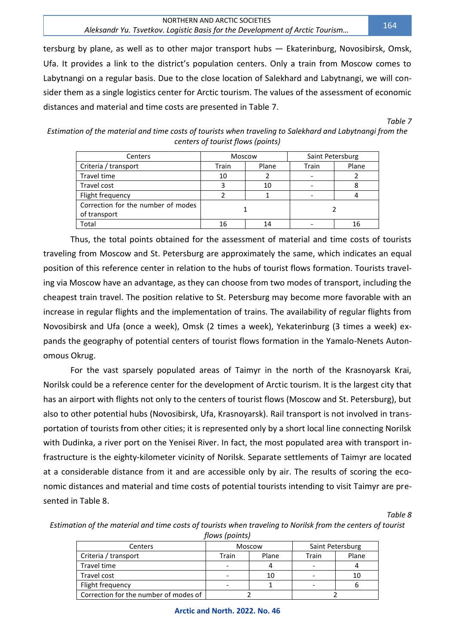#### NORTHERN AND ARCTIC SOCIETIES *Aleksandr Yu. Tsvetkov. Logistic Basis for the Development of Arctic Tourism…*

tersburg by plane, as well as to other major transport hubs — Ekaterinburg, Novosibirsk, Omsk, Ufa. It provides a link to the district's population centers. Only a train from Moscow comes to Labytnangi on a regular basis. Due to the close location of Salekhard and Labytnangi, we will consider them as a single logistics center for Arctic tourism. The values of the assessment of economic distances and material and time costs are presented in Table 7.

*Table 7*

*Estimation of the material and time costs of tourists when traveling to Salekhard and Labytnangi from the centers of tourist flows (points)*

| Centers                                            | Moscow         |    | Saint Petersburg |       |
|----------------------------------------------------|----------------|----|------------------|-------|
| Criteria / transport                               | Plane<br>Train |    | Train            | Plane |
| <b>Travel time</b>                                 | 10             |    |                  |       |
| Travel cost                                        |                | 10 |                  |       |
| Flight frequency                                   |                |    |                  |       |
| Correction for the number of modes<br>of transport |                |    |                  |       |
| Total                                              | 16<br>14       |    |                  | 16    |

Thus, the total points obtained for the assessment of material and time costs of tourists traveling from Moscow and St. Petersburg are approximately the same, which indicates an equal position of this reference center in relation to the hubs of tourist flows formation. Tourists traveling via Moscow have an advantage, as they can choose from two modes of transport, including the cheapest train travel. The position relative to St. Petersburg may become more favorable with an increase in regular flights and the implementation of trains. The availability of regular flights from Novosibirsk and Ufa (once a week), Omsk (2 times a week), Yekaterinburg (3 times a week) expands the geography of potential centers of tourist flows formation in the Yamalo-Nenets Autonomous Okrug.

For the vast sparsely populated areas of Taimyr in the north of the Krasnoyarsk Krai, Norilsk could be a reference center for the development of Arctic tourism. It is the largest city that has an airport with flights not only to the centers of tourist flows (Moscow and St. Petersburg), but also to other potential hubs (Novosibirsk, Ufa, Krasnoyarsk). Rail transport is not involved in transportation of tourists from other cities; it is represented only by a short local line connecting Norilsk with Dudinka, a river port on the Yenisei River. In fact, the most populated area with transport infrastructure is the eighty-kilometer vicinity of Norilsk. Separate settlements of Taimyr are located at a considerable distance from it and are accessible only by air. The results of scoring the economic distances and material and time costs of potential tourists intending to visit Taimyr are presented in Table 8.

*Table 8*

| Estimation of the material and time costs of tourists when traveling to Norilsk from the centers of tourist |
|-------------------------------------------------------------------------------------------------------------|
| flows (points)                                                                                              |

| Centers                               |       | Moscow |       | Saint Petersburg |
|---------------------------------------|-------|--------|-------|------------------|
| Criteria / transport                  | Train | Plane  | Train | Plane            |
| Travel time                           | -     |        |       |                  |
| Travel cost                           | -     | 10     |       |                  |
| Flight frequency                      |       |        |       |                  |
| Correction for the number of modes of |       |        |       |                  |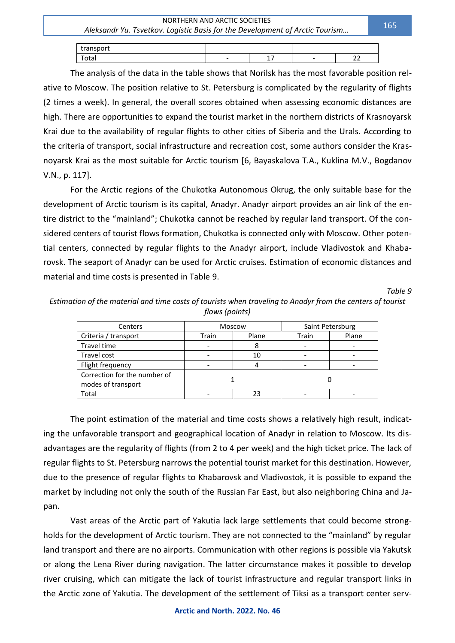| transport |   |                     |   |                  |
|-----------|---|---------------------|---|------------------|
| Total     | - | -<br>-<br>--<br>- - | - | - -<br>__<br>$-$ |

The analysis of the data in the table shows that Norilsk has the most favorable position relative to Moscow. The position relative to St. Petersburg is complicated by the regularity of flights (2 times a week). In general, the overall scores obtained when assessing economic distances are high. There are opportunities to expand the tourist market in the northern districts of Krasnoyarsk Krai due to the availability of regular flights to other cities of Siberia and the Urals. According to the criteria of transport, social infrastructure and recreation cost, some authors consider the Krasnoyarsk Krai as the most suitable for Arctic tourism [6, Bayaskalova T.A., Kuklina M.V., Bogdanov V.N., p. 117].

For the Arctic regions of the Chukotka Autonomous Okrug, the only suitable base for the development of Arctic tourism is its capital, Anadyr. Anadyr airport provides an air link of the entire district to the "mainland"; Chukotka cannot be reached by regular land transport. Of the considered centers of tourist flows formation, Chukotka is connected only with Moscow. Other potential centers, connected by regular flights to the Anadyr airport, include Vladivostok and Khabarovsk. The seaport of Anadyr can be used for Arctic cruises. Estimation of economic distances and material and time costs is presented in Table 9.

*Table 9*

| Estimation of the material and time costs of tourists when traveling to Anadyr from the centers of tourist |
|------------------------------------------------------------------------------------------------------------|
| flows (points)                                                                                             |

| Centers                                            | Moscow |       | Saint Petersburg |       |
|----------------------------------------------------|--------|-------|------------------|-------|
| Criteria / transport                               | Train  | Plane | Train            | Plane |
| Travel time                                        |        |       |                  |       |
| Travel cost                                        |        | 10    |                  |       |
| Flight frequency                                   |        |       |                  |       |
| Correction for the number of<br>modes of transport |        |       |                  |       |
| Total                                              |        |       |                  |       |

The point estimation of the material and time costs shows a relatively high result, indicating the unfavorable transport and geographical location of Anadyr in relation to Moscow. Its disadvantages are the regularity of flights (from 2 to 4 per week) and the high ticket price. The lack of regular flights to St. Petersburg narrows the potential tourist market for this destination. However, due to the presence of regular flights to Khabarovsk and Vladivostok, it is possible to expand the market by including not only the south of the Russian Far East, but also neighboring China and Japan.

Vast areas of the Arctic part of Yakutia lack large settlements that could become strongholds for the development of Arctic tourism. They are not connected to the "mainland" by regular land transport and there are no airports. Communication with other regions is possible via Yakutsk or along the Lena River during navigation. The latter circumstance makes it possible to develop river cruising, which can mitigate the lack of tourist infrastructure and regular transport links in the Arctic zone of Yakutia. The development of the settlement of Tiksi as a transport center serv-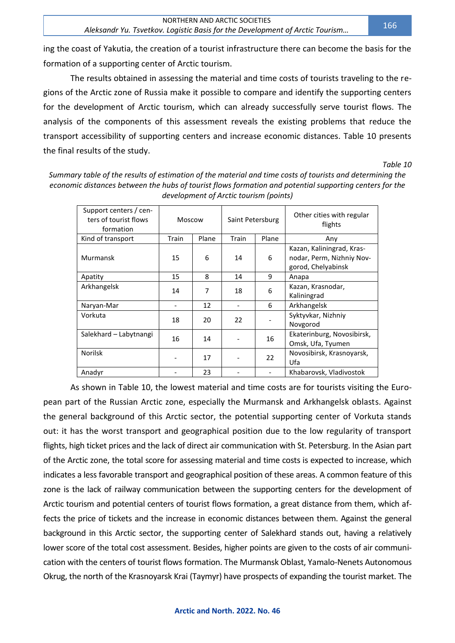ing the coast of Yakutia, the creation of a tourist infrastructure there can become the basis for the formation of a supporting center of Arctic tourism.

The results obtained in assessing the material and time costs of tourists traveling to the regions of the Arctic zone of Russia make it possible to compare and identify the supporting centers for the development of Arctic tourism, which can already successfully serve tourist flows. The analysis of the components of this assessment reveals the existing problems that reduce the transport accessibility of supporting centers and increase economic distances. Table 10 presents the final results of the study.

*Table 10*

| Support centers / cen-<br>ters of tourist flows<br>formation | Moscow |       | Saint Petersburg         |       | Other cities with regular<br>flights                                         |  |
|--------------------------------------------------------------|--------|-------|--------------------------|-------|------------------------------------------------------------------------------|--|
| Kind of transport                                            | Train  | Plane | Train                    | Plane | Any                                                                          |  |
| Murmansk                                                     | 15     | 6     | 14                       | 6     | Kazan, Kaliningrad, Kras-<br>nodar, Perm, Nizhniy Nov-<br>gorod, Chelyabinsk |  |
| Apatity                                                      | 15     | 8     | 14                       | 9     | Anapa                                                                        |  |
| Arkhangelsk                                                  | 14     | 7     | 18                       | 6     | Kazan, Krasnodar,<br>Kaliningrad                                             |  |
| Naryan-Mar                                                   |        | 12    | $\overline{\phantom{0}}$ | 6     | Arkhangelsk                                                                  |  |
| Vorkuta                                                      | 18     | 20    | 22                       |       | Syktyvkar, Nizhniy<br>Novgorod                                               |  |
| Salekhard - Labytnangi                                       | 16     | 14    |                          | 16    | Ekaterinburg, Novosibirsk,<br>Omsk, Ufa, Tyumen                              |  |
| <b>Norilsk</b>                                               |        | 17    |                          | 22    | Novosibirsk, Krasnoyarsk,<br>Ufa                                             |  |
| Anadyr                                                       |        | 23    |                          |       | Khabarovsk, Vladivostok                                                      |  |

*Summary table of the results of estimation of the material and time costs of tourists and determining the economic distances between the hubs of tourist flows formation and potential supporting centers for the development of Arctic tourism (points)*

As shown in Table 10, the lowest material and time costs are for tourists visiting the European part of the Russian Arctic zone, especially the Murmansk and Arkhangelsk oblasts. Against the general background of this Arctic sector, the potential supporting center of Vorkuta stands out: it has the worst transport and geographical position due to the low regularity of transport flights, high ticket prices and the lack of direct air communication with St. Petersburg. In the Asian part of the Arctic zone, the total score for assessing material and time costs is expected to increase, which indicates a less favorable transport and geographical position of these areas. A common feature of this zone is the lack of railway communication between the supporting centers for the development of Arctic tourism and potential centers of tourist flows formation, a great distance from them, which affects the price of tickets and the increase in economic distances between them. Against the general background in this Arctic sector, the supporting center of Salekhard stands out, having a relatively lower score of the total cost assessment. Besides, higher points are given to the costs of air communication with the centers of tourist flows formation. The Murmansk Oblast, Yamalo-Nenets Autonomous Okrug, the north of the Krasnoyarsk Krai (Taymyr) have prospects of expanding the tourist market. The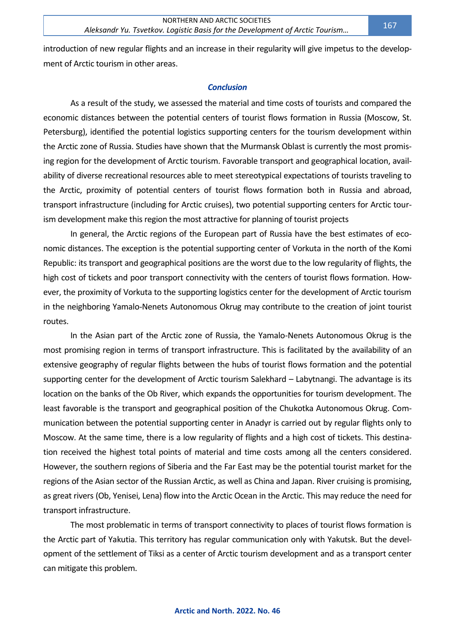introduction of new regular flights and an increase in their regularity will give impetus to the development of Arctic tourism in other areas.

#### *Conclusion*

As a result of the study, we assessed the material and time costs of tourists and compared the economic distances between the potential centers of tourist flows formation in Russia (Moscow, St. Petersburg), identified the potential logistics supporting centers for the tourism development within the Arctic zone of Russia. Studies have shown that the Murmansk Oblast is currently the most promising region for the development of Arctic tourism. Favorable transport and geographical location, availability of diverse recreational resources able to meet stereotypical expectations of tourists traveling to the Arctic, proximity of potential centers of tourist flows formation both in Russia and abroad, transport infrastructure (including for Arctic cruises), two potential supporting centers for Arctic tourism development make this region the most attractive for planning of tourist projects

In general, the Arctic regions of the European part of Russia have the best estimates of economic distances. The exception is the potential supporting center of Vorkuta in the north of the Komi Republic: its transport and geographical positions are the worst due to the low regularity of flights, the high cost of tickets and poor transport connectivity with the centers of tourist flows formation. However, the proximity of Vorkuta to the supporting logistics center for the development of Arctic tourism in the neighboring Yamalo-Nenets Autonomous Okrug may contribute to the creation of joint tourist routes.

In the Asian part of the Arctic zone of Russia, the Yamalo-Nenets Autonomous Okrug is the most promising region in terms of transport infrastructure. This is facilitated by the availability of an extensive geography of regular flights between the hubs of tourist flows formation and the potential supporting center for the development of Arctic tourism Salekhard – Labytnangi. The advantage is its location on the banks of the Ob River, which expands the opportunities for tourism development. The least favorable is the transport and geographical position of the Chukotka Autonomous Okrug. Communication between the potential supporting center in Anadyr is carried out by regular flights only to Moscow. At the same time, there is a low regularity of flights and a high cost of tickets. This destination received the highest total points of material and time costs among all the centers considered. However, the southern regions of Siberia and the Far East may be the potential tourist market for the regions of the Asian sector of the Russian Arctic, as well as China and Japan. River cruising is promising, as great rivers (Ob, Yenisei, Lena) flow into the Arctic Ocean in the Arctic. This may reduce the need for transport infrastructure.

The most problematic in terms of transport connectivity to places of tourist flows formation is the Arctic part of Yakutia. This territory has regular communication only with Yakutsk. But the development of the settlement of Tiksi as a center of Arctic tourism development and as a transport center can mitigate this problem.